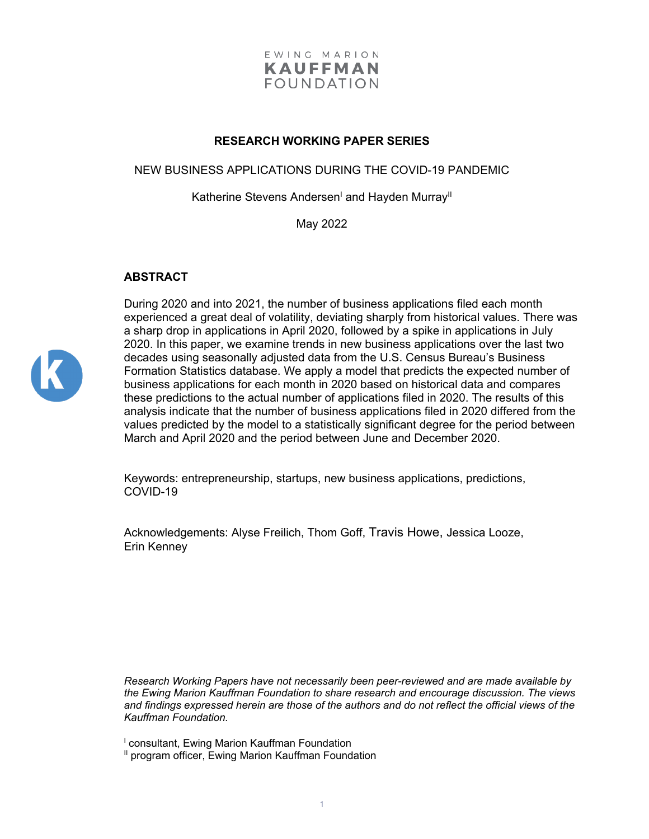

## **RESEARCH WORKING PAPER SERIES**

NEW BUSINESS APPLICATIONS DURING THE COVID-19 PANDEMIC

Katherine Stevens Andersen<sup>I</sup> and Hayden Murray<sup>II</sup>

May 2022

## **ABSTRACT**



During 2020 and into 2021, the number of business applications filed each month experienced a great deal of volatility, deviating sharply from historical values. There was a sharp drop in applications in April 2020, followed by a spike in applications in July 2020. In this paper, we examine trends in new business applications over the last two decades using seasonally adjusted data from the U.S. Census Bureau's Business Formation Statistics database. We apply a model that predicts the expected number of business applications for each month in 2020 based on historical data and compares these predictions to the actual number of applications filed in 2020. The results of this analysis indicate that the number of business applications filed in 2020 differed from the values predicted by the model to a statistically significant degree for the period between March and April 2020 and the period between June and December 2020.

Keywords: entrepreneurship, startups, new business applications, predictions, COVID-19

Acknowledgements: Alyse Freilich, Thom Goff, Travis Howe, Jessica Looze, Erin Kenney

*Research Working Papers have not necessarily been peer-reviewed and are made available by the Ewing Marion Kauffman Foundation to share research and encourage discussion. The views and findings expressed herein are those of the authors and do not reflect the official views of the Kauffman Foundation.* 

<sup>1</sup> consultant, Ewing Marion Kauffman Foundation

<sup>II</sup> program officer, Ewing Marion Kauffman Foundation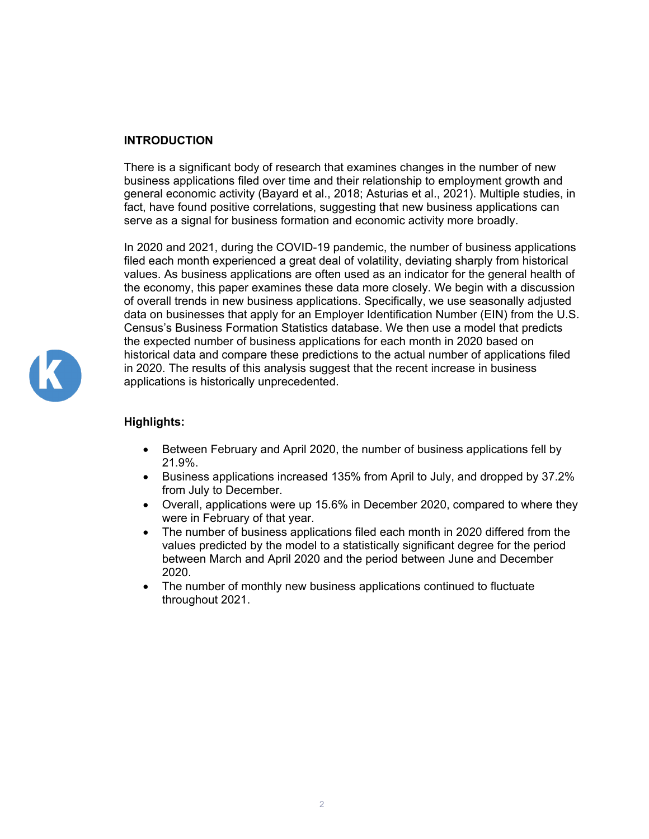# **INTRODUCTION**

There is a significant body of research that examines changes in the number of new business applications filed over time and their relationship to employment growth and general economic activity (Bayard et al., 2018; Asturias et al., 2021). Multiple studies, in fact, have found positive correlations, suggesting that new business applications can serve as a signal for business formation and economic activity more broadly.

In 2020 and 2021, during the COVID-19 pandemic, the number of business applications filed each month experienced a great deal of volatility, deviating sharply from historical values. As business applications are often used as an indicator for the general health of the economy, this paper examines these data more closely. We begin with a discussion of overall trends in new business applications. Specifically, we use seasonally adjusted data on businesses that apply for an Employer Identification Number (EIN) from the U.S. Census's Business Formation Statistics database. We then use a model that predicts the expected number of business applications for each month in 2020 based on historical data and compare these predictions to the actual number of applications filed in 2020. The results of this analysis suggest that the recent increase in business applications is historically unprecedented.



# **Highlights:**

- Between February and April 2020, the number of business applications fell by 21.9%.
- Business applications increased 135% from April to July, and dropped by 37.2% from July to December.
- Overall, applications were up 15.6% in December 2020, compared to where they were in February of that year.
- The number of business applications filed each month in 2020 differed from the values predicted by the model to a statistically significant degree for the period between March and April 2020 and the period between June and December 2020.
- The number of monthly new business applications continued to fluctuate throughout 2021.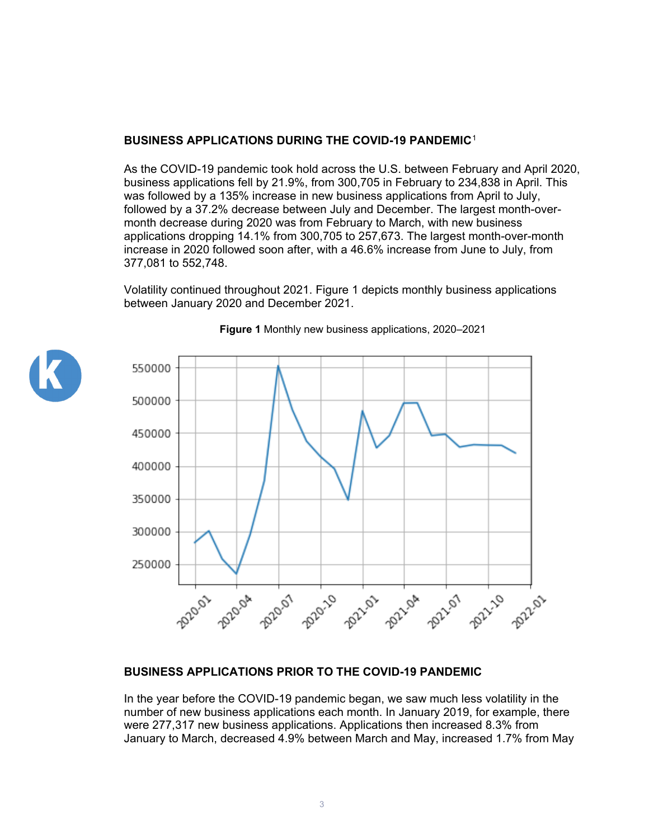# **BUSINESS APPLICATIONS DURING THE COVID-19 PANDEMIC**[1](#page-13-0)

As the COVID-19 pandemic took hold across the U.S. between February and April 2020, business applications fell by 21.9%, from 300,705 in February to 234,838 in April. This was followed by a 135% increase in new business applications from April to July, followed by a 37.2% decrease between July and December. The largest month-overmonth decrease during 2020 was from February to March, with new business applications dropping 14.1% from 300,705 to 257,673. The largest month-over-month increase in 2020 followed soon after, with a 46.6% increase from June to July, from 377,081 to 552,748.

Volatility continued throughout 2021. Figure 1 depicts monthly business applications between January 2020 and December 2021.





### **Figure 1** Monthly new business applications, 2020–2021

### **BUSINESS APPLICATIONS PRIOR TO THE COVID-19 PANDEMIC**

In the year before the COVID-19 pandemic began, we saw much less volatility in the number of new business applications each month. In January 2019, for example, there were 277,317 new business applications. Applications then increased 8.3% from January to March, decreased 4.9% between March and May, increased 1.7% from May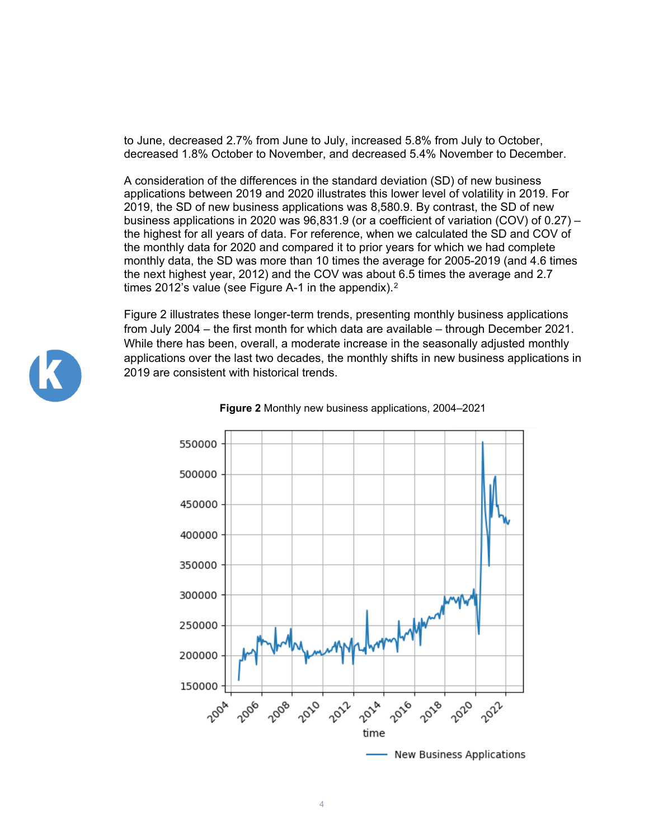to June, decreased 2.7% from June to July, increased 5.8% from July to October, decreased 1.8% October to November, and decreased 5.4% November to December.

A consideration of the differences in the standard deviation (SD) of new business applications between 2019 and 2020 illustrates this lower level of volatility in 2019. For 2019, the SD of new business applications was 8,580.9. By contrast, the SD of new business applications in 2020 was 96,831.9 (or a coefficient of variation (COV) of 0.27) – the highest for all years of data. For reference, when we calculated the SD and COV of the monthly data for 2020 and compared it to prior years for which we had complete monthly data, the SD was more than 10 times the average for 2005-2019 (and 4.6 times the next highest year, 2012) and the COV was about 6.5 times the average and 2.7 times [2](#page-13-1)012's value (see Figure A-1 in the appendix).<sup>2</sup>

Figure 2 illustrates these longer-term trends, presenting monthly business applications from July 2004 – the first month for which data are available – through December 2021. While there has been, overall, a moderate increase in the seasonally adjusted monthly applications over the last two decades, the monthly shifts in new business applications in 2019 are consistent with historical trends.





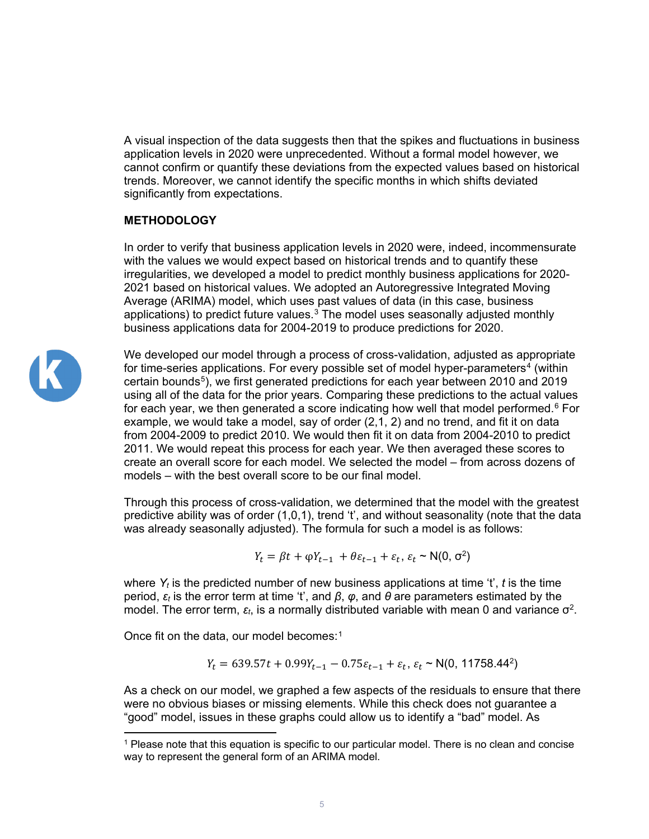A visual inspection of the data suggests then that the spikes and fluctuations in business application levels in 2020 were unprecedented. Without a formal model however, we cannot confirm or quantify these deviations from the expected values based on historical trends. Moreover, we cannot identify the specific months in which shifts deviated significantly from expectations.

# **METHODOLOGY**

In order to verify that business application levels in 2020 were, indeed, incommensurate with the values we would expect based on historical trends and to quantify these irregularities, we developed a model to predict monthly business applications for 2020- 2021 based on historical values. We adopted an Autoregressive Integrated Moving Average (ARIMA) model, which uses past values of data (in this case, business applications) to predict future values.[3](#page-13-2) The model uses seasonally adjusted monthly business applications data for 2004-2019 to produce predictions for 2020.



We developed our model through a process of cross-validation, adjusted as appropriate for time-series applications. For every possible set of model hyper-parameters<sup>[4](#page-13-3)</sup> (within certain bounds[5\)](#page-13-4), we first generated predictions for each year between 2010 and 2019 using all of the data for the prior years. Comparing these predictions to the actual values for each year, we then generated a score indicating how well that model performed. $6$  For example, we would take a model, say of order (2,1, 2) and no trend, and fit it on data from 2004-2009 to predict 2010. We would then fit it on data from 2004-2010 to predict 2011. We would repeat this process for each year. We then averaged these scores to create an overall score for each model. We selected the model – from across dozens of models – with the best overall score to be our final model

Through this process of cross-validation, we determined that the model with the greatest predictive ability was of order (1,0,1), trend 't', and without seasonality (note that the data was already seasonally adjusted). The formula for such a model is as follows:

$$
Y_t = \beta t + \varphi Y_{t-1} + \theta \varepsilon_{t-1} + \varepsilon_t, \, \varepsilon_t \sim \mathsf{N}(0, \sigma^2)
$$

where *Yt* is the predicted number of new business applications at time 't', *t* is the time period, *ɛ<sup>t</sup>* is the error term at time 't', and *β*, *φ*, and *θ* are parameters estimated by the model. The error term,  $ε_t$ , is a normally distributed variable with mean 0 and variance  $σ²$ .

Once fit on the data, our model becomes:<sup>[1](#page-4-0)</sup>

$$
Y_t = 639.57t + 0.99Y_{t-1} - 0.75\varepsilon_{t-1} + \varepsilon_t, \varepsilon_t \sim \mathsf{N}(0, 11758.44^2)
$$

As a check on our model, we graphed a few aspects of the residuals to ensure that there were no obvious biases or missing elements. While this check does not guarantee a "good" model, issues in these graphs could allow us to identify a "bad" model. As

<span id="page-4-0"></span> $<sup>1</sup>$  Please note that this equation is specific to our particular model. There is no clean and concise</sup> way to represent the general form of an ARIMA model.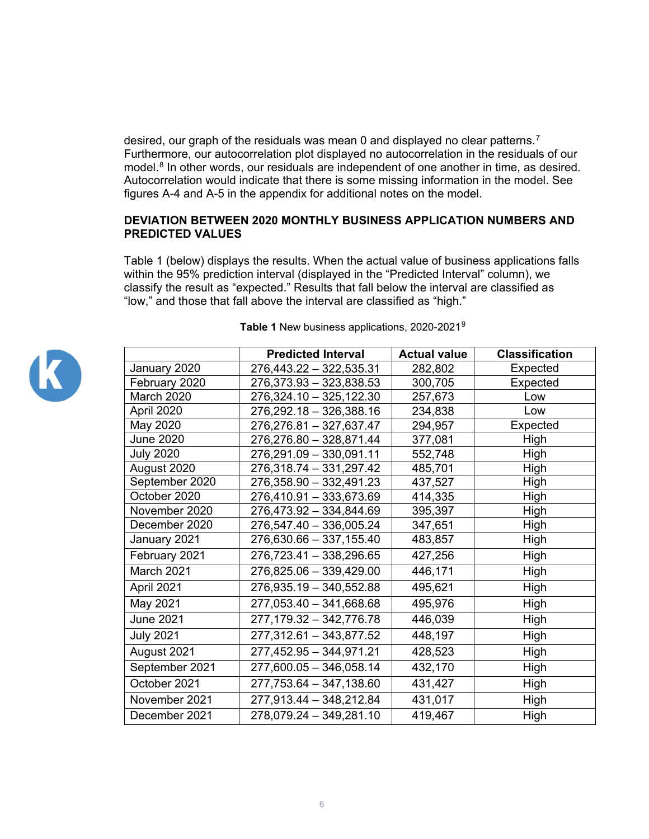desired, our graph of the residuals was mean 0 and displayed no clear patterns.<sup>[7](#page-13-6)</sup> Furthermore, our autocorrelation plot displayed no autocorrelation in the residuals of our model.<sup>[8](#page-13-7)</sup> In other words, our residuals are independent of one another in time, as desired. Autocorrelation would indicate that there is some missing information in the model. See figures A-4 and A-5 in the appendix for additional notes on the model.

## **DEVIATION BETWEEN 2020 MONTHLY BUSINESS APPLICATION NUMBERS AND PREDICTED VALUES**

Table 1 (below) displays the results. When the actual value of business applications falls within the 95% prediction interval (displayed in the "Predicted Interval" column), we classify the result as "expected." Results that fall below the interval are classified as "low," and those that fall above the interval are classified as "high."



|                   | <b>Predicted Interval</b> | <b>Actual value</b> | <b>Classification</b> |
|-------------------|---------------------------|---------------------|-----------------------|
| January 2020      | 276,443.22 - 322,535.31   | 282,802             | Expected              |
| February 2020     | 276,373.93 - 323,838.53   | 300,705             | Expected              |
| <b>March 2020</b> | 276,324.10 - 325,122.30   | 257,673             | Low                   |
| April 2020        | 276,292.18 - 326,388.16   | 234,838             | Low                   |
| May 2020          | 276,276.81 - 327,637.47   | 294,957             | Expected              |
| June 2020         | 276,276.80 - 328,871.44   | 377,081             | High                  |
| <b>July 2020</b>  | 276,291.09 - 330,091.11   | 552,748             | High                  |
| August 2020       | 276,318.74 - 331,297.42   | 485,701             | High                  |
| September 2020    | 276,358.90 - 332,491.23   | 437,527             | High                  |
| October 2020      | 276,410.91 - 333,673.69   | 414,335             | High                  |
| November 2020     | 276,473.92 - 334,844.69   | 395,397             | High                  |
| December 2020     | 276,547.40 - 336,005.24   | 347,651             | High                  |
| January 2021      | 276,630.66 - 337,155.40   | 483,857             | High                  |
| February 2021     | 276,723.41 - 338,296.65   | 427,256             | High                  |
| March 2021        | 276,825.06 - 339,429.00   | 446,171             | High                  |
| April 2021        | 276,935.19 - 340,552.88   | 495,621             | High                  |
| May 2021          | 277,053.40 - 341,668.68   | 495,976             | High                  |
| June 2021         | 277, 179.32 - 342, 776.78 | 446,039             | High                  |
| <b>July 2021</b>  | 277,312.61 - 343,877.52   | 448,197             | High                  |
| August 2021       | 277,452.95 - 344,971.21   | 428,523             | High                  |
| September 2021    | 277,600.05 - 346,058.14   | 432,170             | High                  |
| October 2021      | 277,753.64 - 347,138.60   | 431,427             | High                  |
| November 2021     | 277,913.44 - 348,212.84   | 431,017             | High                  |
| December 2021     | 278,079.24 - 349,281.10   | 419,467             | High                  |

#### **Table 1** New business applications, 2020-2021[9](#page-13-8)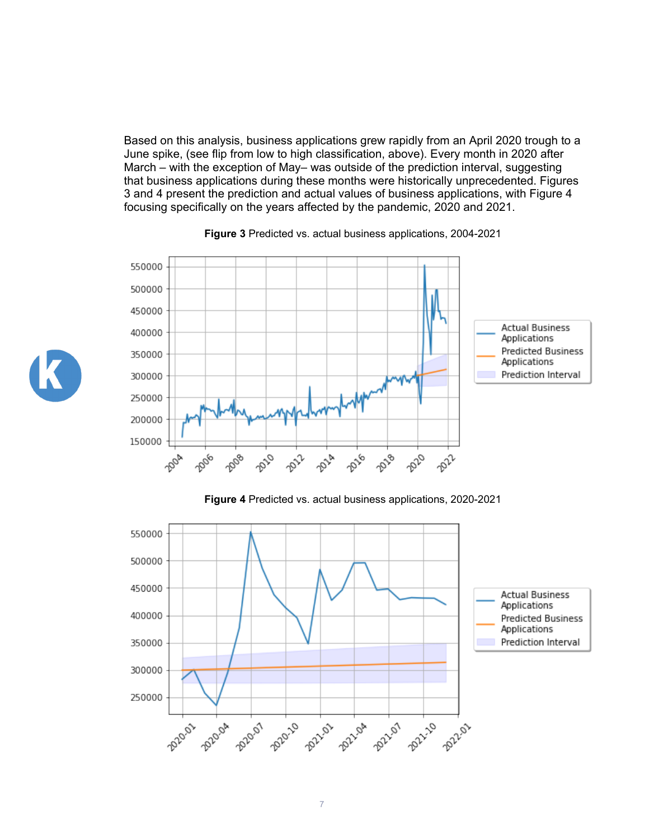Based on this analysis, business applications grew rapidly from an April 2020 trough to a June spike, (see flip from low to high classification, above). Every month in 2020 after March – with the exception of May– was outside of the prediction interval, suggesting that business applications during these months were historically unprecedented. Figures 3 and 4 present the prediction and actual values of business applications, with Figure 4 focusing specifically on the years affected by the pandemic, 2020 and 2021.



#### **Figure 3** Predicted vs. actual business applications, 2004-2021

**Figure 4** Predicted vs. actual business applications, 2020-2021



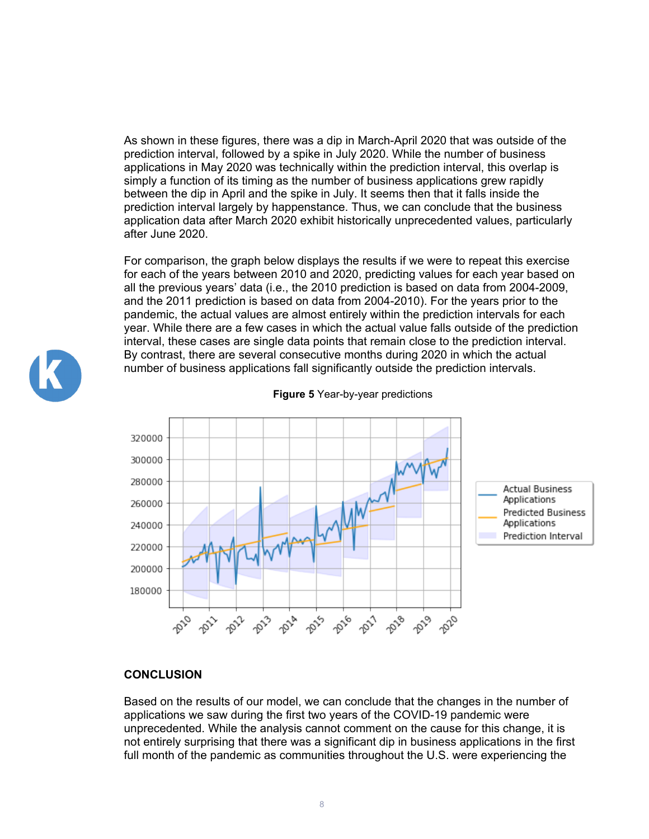As shown in these figures, there was a dip in March-April 2020 that was outside of the prediction interval, followed by a spike in July 2020. While the number of business applications in May 2020 was technically within the prediction interval, this overlap is simply a function of its timing as the number of business applications grew rapidly between the dip in April and the spike in July. It seems then that it falls inside the prediction interval largely by happenstance. Thus, we can conclude that the business application data after March 2020 exhibit historically unprecedented values, particularly after June 2020.

For comparison, the graph below displays the results if we were to repeat this exercise for each of the years between 2010 and 2020, predicting values for each year based on all the previous years' data (i.e., the 2010 prediction is based on data from 2004-2009, and the 2011 prediction is based on data from 2004-2010). For the years prior to the pandemic, the actual values are almost entirely within the prediction intervals for each year. While there are a few cases in which the actual value falls outside of the prediction interval, these cases are single data points that remain close to the prediction interval. By contrast, there are several consecutive months during 2020 in which the actual number of business applications fall significantly outside the prediction intervals.



#### **Figure 5** Year-by-year predictions

#### **CONCLUSION**

Based on the results of our model, we can conclude that the changes in the number of applications we saw during the first two years of the COVID-19 pandemic were unprecedented. While the analysis cannot comment on the cause for this change, it is not entirely surprising that there was a significant dip in business applications in the first full month of the pandemic as communities throughout the U.S. were experiencing the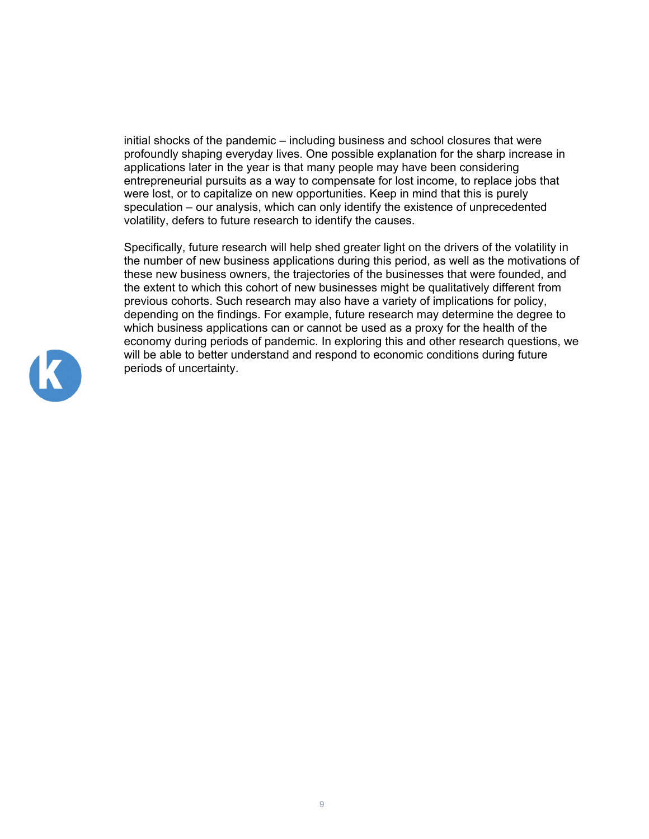initial shocks of the pandemic – including business and school closures that were profoundly shaping everyday lives. One possible explanation for the sharp increase in applications later in the year is that many people may have been considering entrepreneurial pursuits as a way to compensate for lost income, to replace jobs that were lost, or to capitalize on new opportunities. Keep in mind that this is purely speculation – our analysis, which can only identify the existence of unprecedented volatility, defers to future research to identify the causes.

Specifically, future research will help shed greater light on the drivers of the volatility in the number of new business applications during this period, as well as the motivations of these new business owners, the trajectories of the businesses that were founded, and the extent to which this cohort of new businesses might be qualitatively different from previous cohorts. Such research may also have a variety of implications for policy, depending on the findings. For example, future research may determine the degree to which business applications can or cannot be used as a proxy for the health of the economy during periods of pandemic. In exploring this and other research questions, we will be able to better understand and respond to economic conditions during future periods of uncertainty.

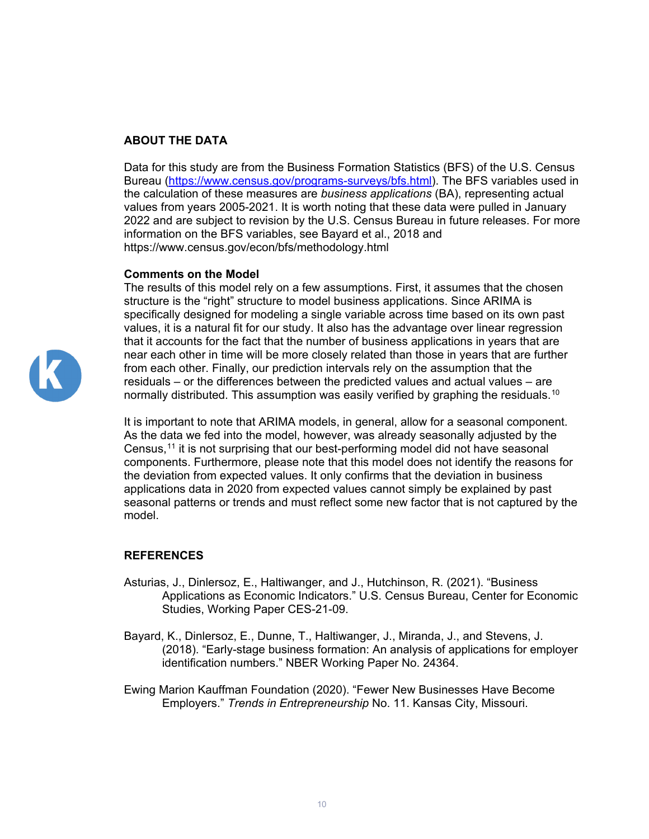# **ABOUT THE DATA**

Data for this study are from the Business Formation Statistics (BFS) of the U.S. Census Bureau [\(https://www.census.gov/programs-surveys/bfs.html\)](https://www.census.gov/programs-surveys/bfs.html). The BFS variables used in the calculation of these measures are *business applications* (BA), representing actual values from years 2005-2021. It is worth noting that these data were pulled in January 2022 and are subject to revision by the U.S. Census Bureau in future releases. For more information on the BFS variables, see Bayard et al., 2018 and https://www.census.gov/econ/bfs/methodology.html

### **Comments on the Model**

The results of this model rely on a few assumptions. First, it assumes that the chosen structure is the "right" structure to model business applications. Since ARIMA is specifically designed for modeling a single variable across time based on its own past values, it is a natural fit for our study. It also has the advantage over linear regression that it accounts for the fact that the number of business applications in years that are near each other in time will be more closely related than those in years that are further from each other. Finally, our prediction intervals rely on the assumption that the residuals – or the differences between the predicted values and actual values – are normally distributed. This assumption was easily verified by graphing the residuals. $^{\rm 10}$  $^{\rm 10}$  $^{\rm 10}$ 

It is important to note that ARIMA models, in general, allow for a seasonal component. As the data we fed into the model, however, was already seasonally adjusted by the Census,<sup>[11](#page-13-10)</sup> it is not surprising that our best-performing model did not have seasonal components. Furthermore, please note that this model does not identify the reasons for the deviation from expected values. It only confirms that the deviation in business applications data in 2020 from expected values cannot simply be explained by past seasonal patterns or trends and must reflect some new factor that is not captured by the model.

# **REFERENCES**

- Asturias, J., Dinlersoz, E., Haltiwanger, and J., Hutchinson, R. (2021). "Business Applications as Economic Indicators." U.S. Census Bureau, Center for Economic Studies, Working Paper CES-21-09.
- Bayard, K., Dinlersoz, E., Dunne, T., Haltiwanger, J., Miranda, J., and Stevens, J. (2018). "Early-stage business formation: An analysis of applications for employer identification numbers." NBER Working Paper No. 24364.

Ewing Marion Kauffman Foundation (2020). "Fewer New Businesses Have Become Employers." *Trends in Entrepreneurship* No. 11. Kansas City, Missouri.

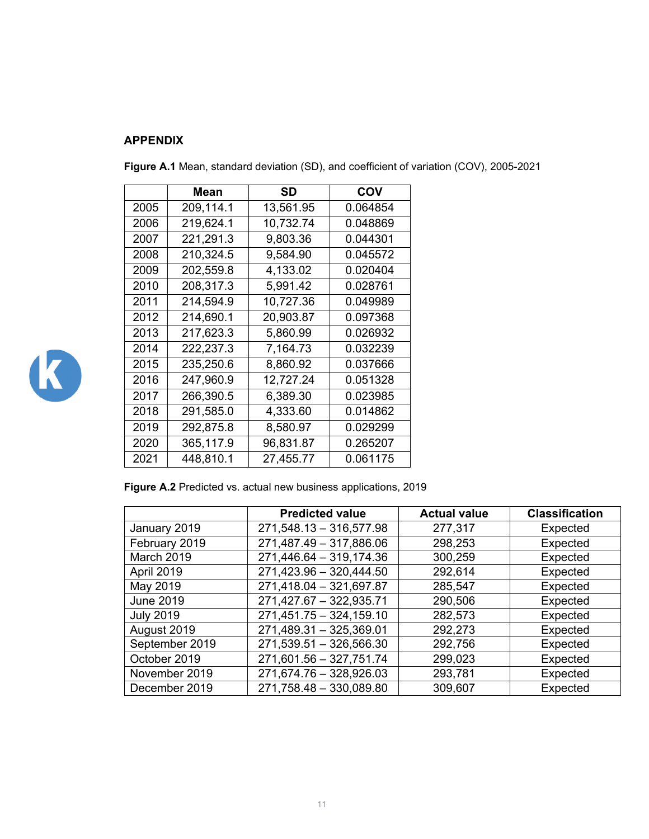# **APPENDIX**

|      | Mean      | SD        | COV      |
|------|-----------|-----------|----------|
| 2005 | 209,114.1 | 13,561.95 | 0.064854 |
| 2006 | 219,624.1 | 10,732.74 | 0.048869 |
| 2007 | 221,291.3 | 9,803.36  | 0.044301 |
| 2008 | 210,324.5 | 9,584.90  | 0.045572 |
| 2009 | 202,559.8 | 4,133.02  | 0.020404 |
| 2010 | 208,317.3 | 5,991.42  | 0.028761 |
| 2011 | 214,594.9 | 10,727.36 | 0.049989 |
| 2012 | 214,690.1 | 20,903.87 | 0.097368 |
| 2013 | 217,623.3 | 5,860.99  | 0.026932 |
| 2014 | 222,237.3 | 7,164.73  | 0.032239 |
| 2015 | 235,250.6 | 8,860.92  | 0.037666 |
| 2016 | 247,960.9 | 12,727.24 | 0.051328 |
| 2017 | 266,390.5 | 6,389.30  | 0.023985 |
| 2018 | 291,585.0 | 4,333.60  | 0.014862 |
| 2019 | 292,875.8 | 8,580.97  | 0.029299 |
| 2020 | 365,117.9 | 96,831.87 | 0.265207 |
| 2021 | 448,810.1 | 27,455.77 | 0.061175 |

**Figure A.1** Mean, standard deviation (SD), and coefficient of variation (COV), 2005-2021



| Figure A.2 Predicted vs. actual new business applications, 2019 |  |  |
|-----------------------------------------------------------------|--|--|
|-----------------------------------------------------------------|--|--|

|                  | <b>Predicted value</b>    | <b>Actual value</b> | <b>Classification</b> |
|------------------|---------------------------|---------------------|-----------------------|
| January 2019     | $271,548.13 - 316,577.98$ | 277,317             | Expected              |
| February 2019    | 271,487.49 - 317,886.06   | 298,253             | Expected              |
| March 2019       | 271,446.64 - 319,174.36   | 300,259             | Expected              |
| April 2019       | 271,423.96 - 320,444.50   | 292,614             | Expected              |
| May 2019         | 271,418.04 - 321,697.87   | 285,547             | Expected              |
| <b>June 2019</b> | 271,427.67 - 322,935.71   | 290,506             | Expected              |
| <b>July 2019</b> | $271,451.75 - 324,159.10$ | 282,573             | Expected              |
| August 2019      | 271,489.31 - 325,369.01   | 292,273             | Expected              |
| September 2019   | 271,539.51 - 326,566.30   | 292,756             | Expected              |
| October 2019     | 271,601.56 - 327,751.74   | 299,023             | Expected              |
| November 2019    | 271,674.76 - 328,926.03   | 293,781             | Expected              |
| December 2019    | 271,758.48 - 330,089.80   | 309,607             | Expected              |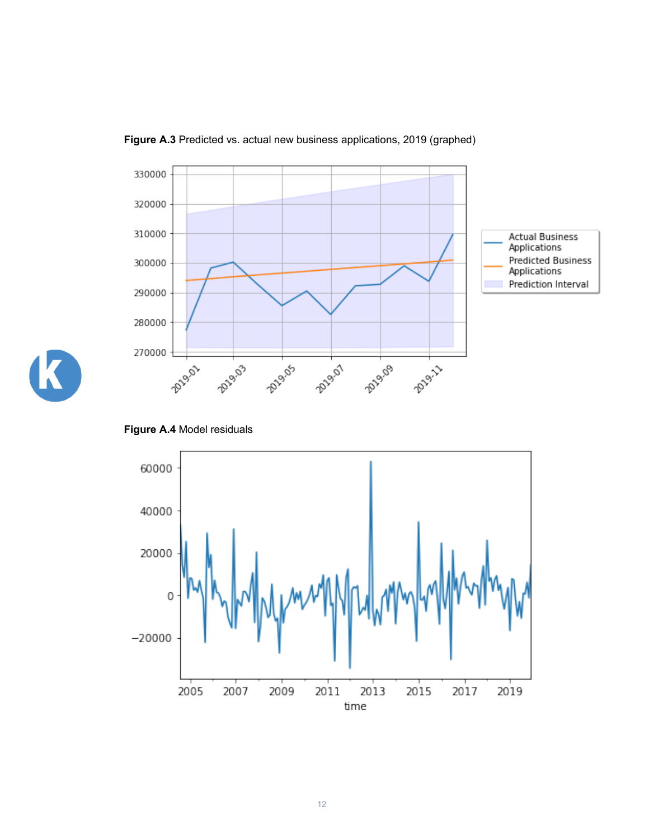

**Figure A.3** Predicted vs. actual new business applications, 2019 (graphed)



**Figure A.4** Model residuals

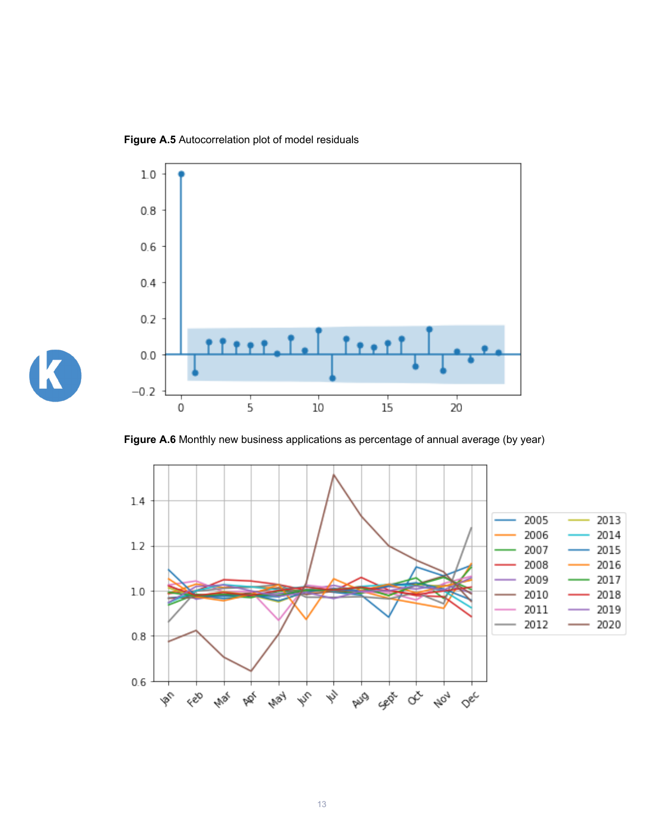**Figure A.5** Autocorrelation plot of model residuals

K



Figure A.6 Monthly new business applications as percentage of annual average (by year)

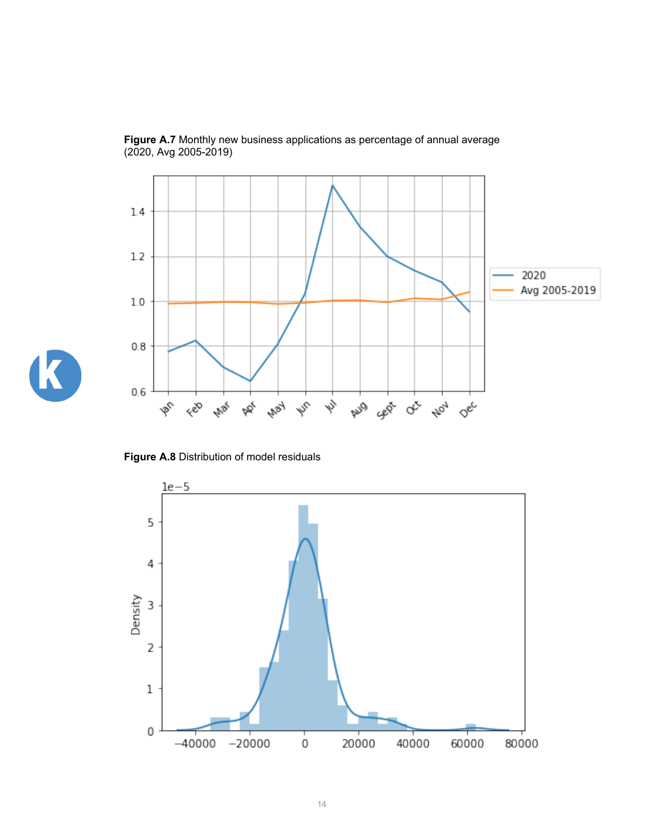<span id="page-13-2"></span><span id="page-13-1"></span><span id="page-13-0"></span>

**Figure A.7** Monthly new business applications as percentage of annual average (2020, Avg 2005-2019)

<span id="page-13-10"></span><span id="page-13-9"></span><span id="page-13-8"></span><span id="page-13-7"></span><span id="page-13-6"></span><span id="page-13-5"></span><span id="page-13-4"></span><span id="page-13-3"></span>

**Figure A.8** Distribution of model residuals